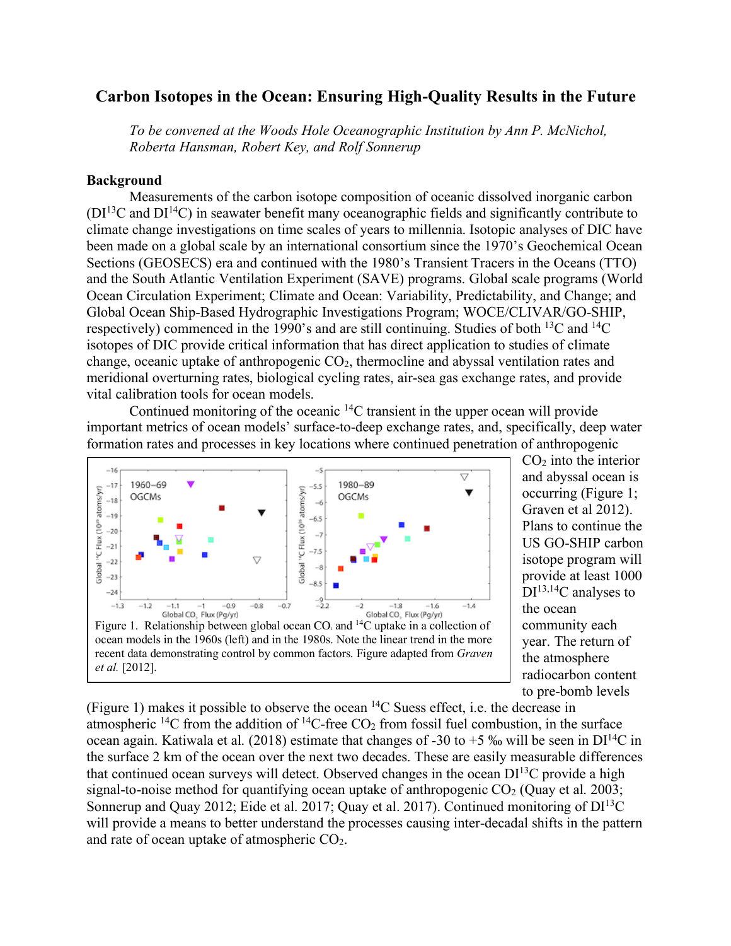# **Carbon Isotopes in the Ocean: Ensuring High-Quality Results in the Future**

*To be convened at the Woods Hole Oceanographic Institution by Ann P. McNichol, Roberta Hansman, Robert Key, and Rolf Sonnerup*

### **Background**

Measurements of the carbon isotope composition of oceanic dissolved inorganic carbon  $(DI<sup>13</sup>C$  and  $DI<sup>14</sup>C$ ) in seawater benefit many oceanographic fields and significantly contribute to climate change investigations on time scales of years to millennia. Isotopic analyses of DIC have been made on a global scale by an international consortium since the 1970's Geochemical Ocean Sections (GEOSECS) era and continued with the 1980's Transient Tracers in the Oceans (TTO) and the South Atlantic Ventilation Experiment (SAVE) programs. Global scale programs (World Ocean Circulation Experiment; Climate and Ocean: Variability, Predictability, and Change; and Global Ocean Ship-Based Hydrographic Investigations Program; WOCE/CLIVAR/GO-SHIP, respectively) commenced in the 1990's and are still continuing. Studies of both 13C and 14C isotopes of DIC provide critical information that has direct application to studies of climate change, oceanic uptake of anthropogenic CO2, thermocline and abyssal ventilation rates and meridional overturning rates, biological cycling rates, air-sea gas exchange rates, and provide vital calibration tools for ocean models.

Continued monitoring of the oceanic 14C transient in the upper ocean will provide important metrics of ocean models' surface-to-deep exchange rates, and, specifically, deep water formation rates and processes in key locations where continued penetration of anthropogenic



 $CO<sub>2</sub>$  into the interior and abyssal ocean is occurring (Figure 1; Graven et al 2012). Plans to continue the US GO-SHIP carbon isotope program will provide at least 1000  $DI^{13,14}C$  analyses to the ocean community each year. The return of the atmosphere radiocarbon content to pre-bomb levels

(Figure 1) makes it possible to observe the ocean 14C Suess effect, i.e. the decrease in atmospheric <sup>14</sup>C from the addition of <sup>14</sup>C-free  $CO<sub>2</sub>$  from fossil fuel combustion, in the surface ocean again. Katiwala et al. (2018) estimate that changes of -30 to +5 ‰ will be seen in  $DI^{14}C$  in the surface 2 km of the ocean over the next two decades. These are easily measurable differences that continued ocean surveys will detect. Observed changes in the ocean  $DI<sup>13</sup>C$  provide a high signal-to-noise method for quantifying ocean uptake of anthropogenic  $CO<sub>2</sub>$  (Quay et al. 2003; Sonnerup and Quay 2012; Eide et al. 2017; Quay et al. 2017). Continued monitoring of  $DI<sup>13</sup>C$ will provide a means to better understand the processes causing inter-decadal shifts in the pattern and rate of ocean uptake of atmospheric CO2.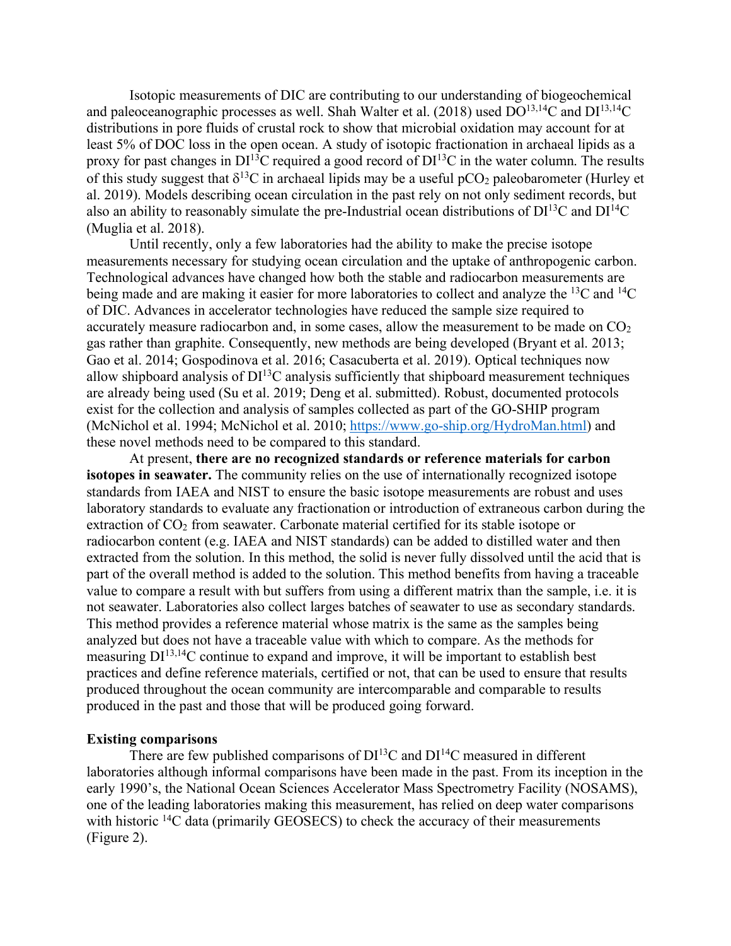Isotopic measurements of DIC are contributing to our understanding of biogeochemical and paleoceanographic processes as well. Shah Walter et al. (2018) used  $DO^{13,14}C$  and  $DI^{13,14}C$ distributions in pore fluids of crustal rock to show that microbial oxidation may account for at least 5% of DOC loss in the open ocean. A study of isotopic fractionation in archaeal lipids as a proxy for past changes in  $DI<sup>13</sup>C$  required a good record of  $DI<sup>13</sup>C$  in the water column. The results of this study suggest that  $\delta^{13}C$  in archaeal lipids may be a useful pCO<sub>2</sub> paleobarometer (Hurley et al. 2019). Models describing ocean circulation in the past rely on not only sediment records, but also an ability to reasonably simulate the pre-Industrial ocean distributions of  $DI<sup>13</sup>C$  and  $DI<sup>14</sup>C$ (Muglia et al. 2018).

Until recently, only a few laboratories had the ability to make the precise isotope measurements necessary for studying ocean circulation and the uptake of anthropogenic carbon. Technological advances have changed how both the stable and radiocarbon measurements are being made and are making it easier for more laboratories to collect and analyze the <sup>13</sup>C and <sup>14</sup>C of DIC. Advances in accelerator technologies have reduced the sample size required to accurately measure radiocarbon and, in some cases, allow the measurement to be made on  $CO<sub>2</sub>$ gas rather than graphite. Consequently, new methods are being developed (Bryant et al. 2013; Gao et al. 2014; Gospodinova et al. 2016; Casacuberta et al. 2019). Optical techniques now allow shipboard analysis of  $DI<sup>13</sup>C$  analysis sufficiently that shipboard measurement techniques are already being used (Su et al. 2019; Deng et al. submitted). Robust, documented protocols exist for the collection and analysis of samples collected as part of the GO-SHIP program (McNichol et al. 1994; McNichol et al. 2010; https://www.go-ship.org/HydroMan.html) and these novel methods need to be compared to this standard.

At present, **there are no recognized standards or reference materials for carbon isotopes in seawater.** The community relies on the use of internationally recognized isotope standards from IAEA and NIST to ensure the basic isotope measurements are robust and uses laboratory standards to evaluate any fractionation or introduction of extraneous carbon during the extraction of  $CO<sub>2</sub>$  from seawater. Carbonate material certified for its stable isotope or radiocarbon content (e.g. IAEA and NIST standards) can be added to distilled water and then extracted from the solution. In this method, the solid is never fully dissolved until the acid that is part of the overall method is added to the solution. This method benefits from having a traceable value to compare a result with but suffers from using a different matrix than the sample, i.e. it is not seawater. Laboratories also collect larges batches of seawater to use as secondary standards. This method provides a reference material whose matrix is the same as the samples being analyzed but does not have a traceable value with which to compare. As the methods for measuring DI13,14C continue to expand and improve, it will be important to establish best practices and define reference materials, certified or not, that can be used to ensure that results produced throughout the ocean community are intercomparable and comparable to results produced in the past and those that will be produced going forward.

### **Existing comparisons**

There are few published comparisons of  $DI<sup>13</sup>C$  and  $DI<sup>14</sup>C$  measured in different laboratories although informal comparisons have been made in the past. From its inception in the early 1990's, the National Ocean Sciences Accelerator Mass Spectrometry Facility (NOSAMS), one of the leading laboratories making this measurement, has relied on deep water comparisons with historic <sup>14</sup>C data (primarily GEOSECS) to check the accuracy of their measurements (Figure 2).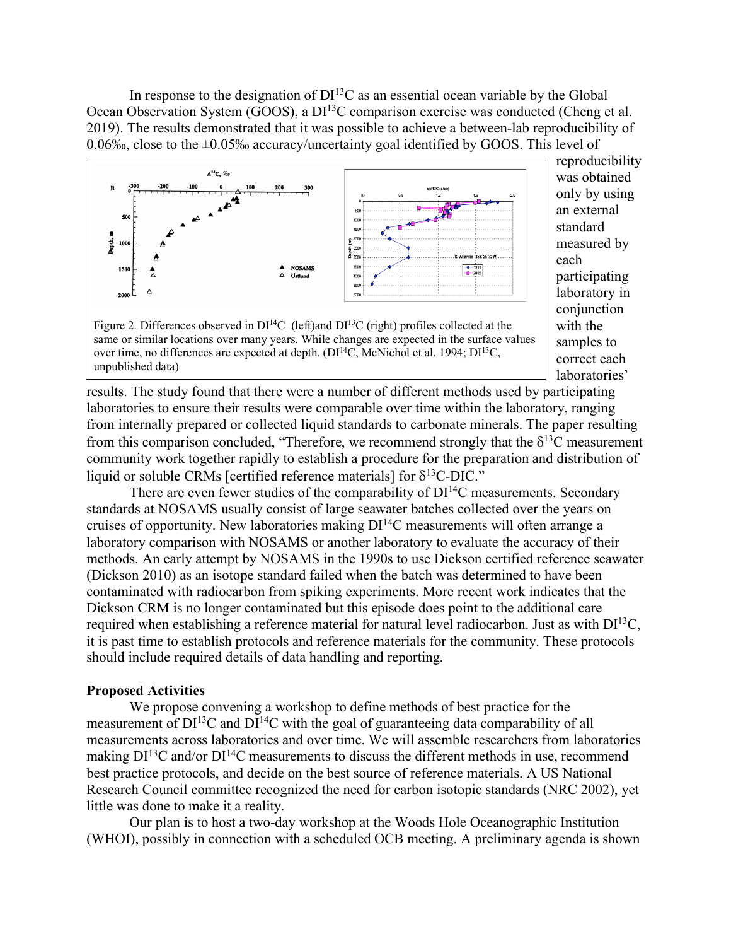In response to the designation of  $DI<sup>13</sup>C$  as an essential ocean variable by the Global Ocean Observation System (GOOS), a DI<sup>13</sup>C comparison exercise was conducted (Cheng et al. 2019). The results demonstrated that it was possible to achieve a between-lab reproducibility of 0.06‰, close to the  $\pm$ 0.05‰ accuracy/uncertainty goal identified by GOOS. This level of



only by using an external standard measured by each participating laboratory in conjunction with the samples to correct each laboratories'

reproducibility was obtained

Figure 2. Differences observed in  $DI<sup>14</sup>C$  (left)and  $DI<sup>13</sup>C$  (right) profiles collected at the same or similar locations over many years. While changes are expected in the surface values over time, no differences are expected at depth.  $(DI<sup>14</sup>C, McNichol et al. 1994; DI<sup>13</sup>C,$ unpublished data)

results. The study found that there were a number of different methods used by participating laboratories to ensure their results were comparable over time within the laboratory, ranging from internally prepared or collected liquid standards to carbonate minerals. The paper resulting from this comparison concluded, "Therefore, we recommend strongly that the  $\delta^{13}C$  measurement community work together rapidly to establish a procedure for the preparation and distribution of liquid or soluble CRMs [certified reference materials] for  $\delta^{13}$ C-DIC."

There are even fewer studies of the comparability of  $DI<sup>14</sup>C$  measurements. Secondary standards at NOSAMS usually consist of large seawater batches collected over the years on cruises of opportunity. New laboratories making DI14C measurements will often arrange a laboratory comparison with NOSAMS or another laboratory to evaluate the accuracy of their methods. An early attempt by NOSAMS in the 1990s to use Dickson certified reference seawater (Dickson 2010) as an isotope standard failed when the batch was determined to have been contaminated with radiocarbon from spiking experiments. More recent work indicates that the Dickson CRM is no longer contaminated but this episode does point to the additional care required when establishing a reference material for natural level radiocarbon. Just as with  $DI^{13}C$ , it is past time to establish protocols and reference materials for the community. These protocols should include required details of data handling and reporting.

#### **Proposed Activities**

We propose convening a workshop to define methods of best practice for the measurement of  $DI^{13}C$  and  $DI^{14}C$  with the goal of guaranteeing data comparability of all measurements across laboratories and over time. We will assemble researchers from laboratories making  $DI^{13}C$  and/or  $DI^{14}C$  measurements to discuss the different methods in use, recommend best practice protocols, and decide on the best source of reference materials. A US National Research Council committee recognized the need for carbon isotopic standards (NRC 2002), yet little was done to make it a reality.

Our plan is to host a two-day workshop at the Woods Hole Oceanographic Institution (WHOI), possibly in connection with a scheduled OCB meeting. A preliminary agenda is shown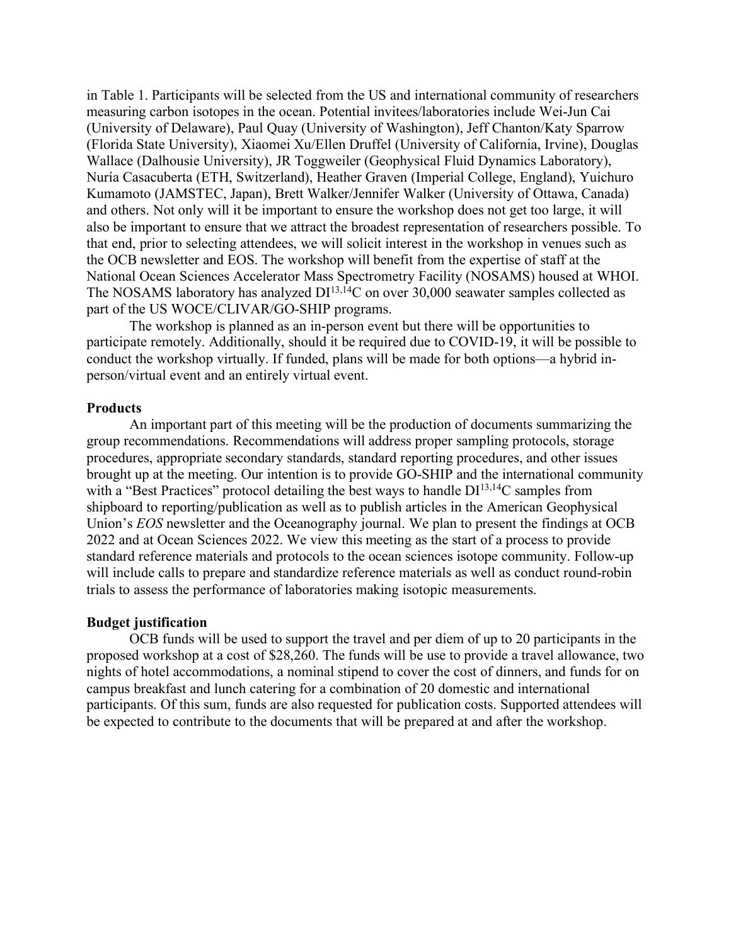in Table 1. Participants will be selected from the US and international community of researchers measuring carbon isotopes in the ocean. Potential invitees/laboratories include Wei-Jun Cai (University of Delaware), Paul Quay (University of Washington), Jeff Chanton/Katy Sparrow (Florida State University), Xiaomei Xu/Ellen Druffel (University of California, Irvine), Douglas Wallace (Dalhousie University), JR Toggweiler (Geophysical Fluid Dynamics Laboratory), Nuría Casacuberta (ETH, Switzerland), Heather Graven (Imperial College, England), Yuichuro Kumamoto (JAMSTEC, Japan), Brett Walker/Jennifer Walker (University of Ottawa, Canada) and others. Not only will it be important to ensure the workshop does not get too large, it will also be important to ensure that we attract the broadest representation of researchers possible. To that end, prior to selecting attendees, we will solicit interest in the workshop in venues such as the OCB newsletter and EOS. The workshop will benefit from the expertise of staff at the National Ocean Sciences Accelerator Mass Spectrometry Facility (NOSAMS) housed at WHOI. The NOSAMS laboratory has analyzed  $DI^{13,14}C$  on over 30,000 seawater samples collected as part of the US WOCE/CLIVAR/GO-SHIP programs.

The workshop is planned as an in-person event but there will be opportunities to participate remotely. Additionally, should it be required due to COVID-19, it will be possible to conduct the workshop virtually. If funded, plans will be made for both options—a hybrid inperson/virtual event and an entirely virtual event.

#### **Products**

An important part of this meeting will be the production of documents summarizing the group recommendations. Recommendations will address proper sampling protocols, storage procedures, appropriate secondary standards, standard reporting procedures, and other issues brought up at the meeting. Our intention is to provide GO-SHIP and the international community with a "Best Practices" protocol detailing the best ways to handle  $DI^{13,14}C$  samples from shipboard to reporting/publication as well as to publish articles in the American Geophysical Union's *EOS* newsletter and the Oceanography journal. We plan to present the findings at OCB 2022 and at Ocean Sciences 2022. We view this meeting as the start of a process to provide standard reference materials and protocols to the ocean sciences isotope community. Follow-up will include calls to prepare and standardize reference materials as well as conduct round-robin trials to assess the performance of laboratories making isotopic measurements.

#### **Budget justification**

OCB funds will be used to support the travel and per diem of up to 20 participants in the proposed workshop at a cost of \$28,260. The funds will be use to provide a travel allowance, two nights of hotel accommodations, a nominal stipend to cover the cost of dinners, and funds for on campus breakfast and lunch catering for a combination of 20 domestic and international participants. Of this sum, funds are also requested for publication costs. Supported attendees will be expected to contribute to the documents that will be prepared at and after the workshop.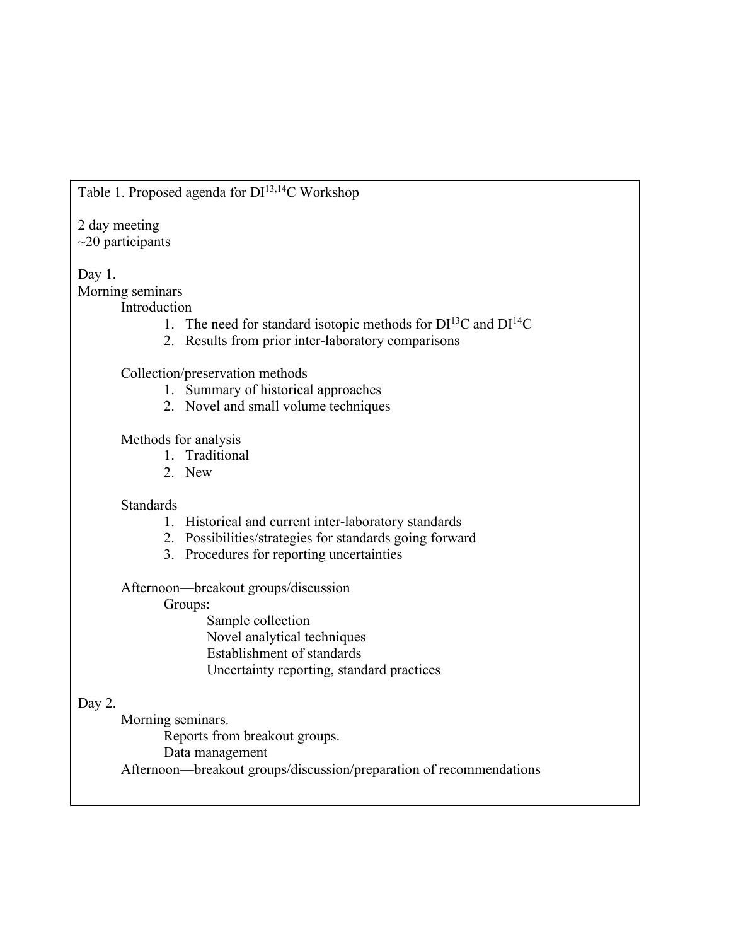# Table 1. Proposed agenda for DI<sup>13,14</sup>C Workshop

### 2 day meeting  $\sim$ 20 participants

## Day 1.

Morning seminars

- Introduction
	- 1. The need for standard isotopic methods for  $DI^{13}C$  and  $DI^{14}C$
	- 2. Results from prior inter-laboratory comparisons

Collection/preservation methods

- 1. Summary of historical approaches
- 2. Novel and small volume techniques

Methods for analysis

- 1. Traditional
- 2. New

## **Standards**

- 1. Historical and current inter-laboratory standards
- 2. Possibilities/strategies for standards going forward
- 3. Procedures for reporting uncertainties

Afternoon—breakout groups/discussion

Groups:

Sample collection Novel analytical techniques Establishment of standards Uncertainty reporting, standard practices

# Day 2.

Morning seminars. Reports from breakout groups. Data management Afternoon—breakout groups/discussion/preparation of recommendations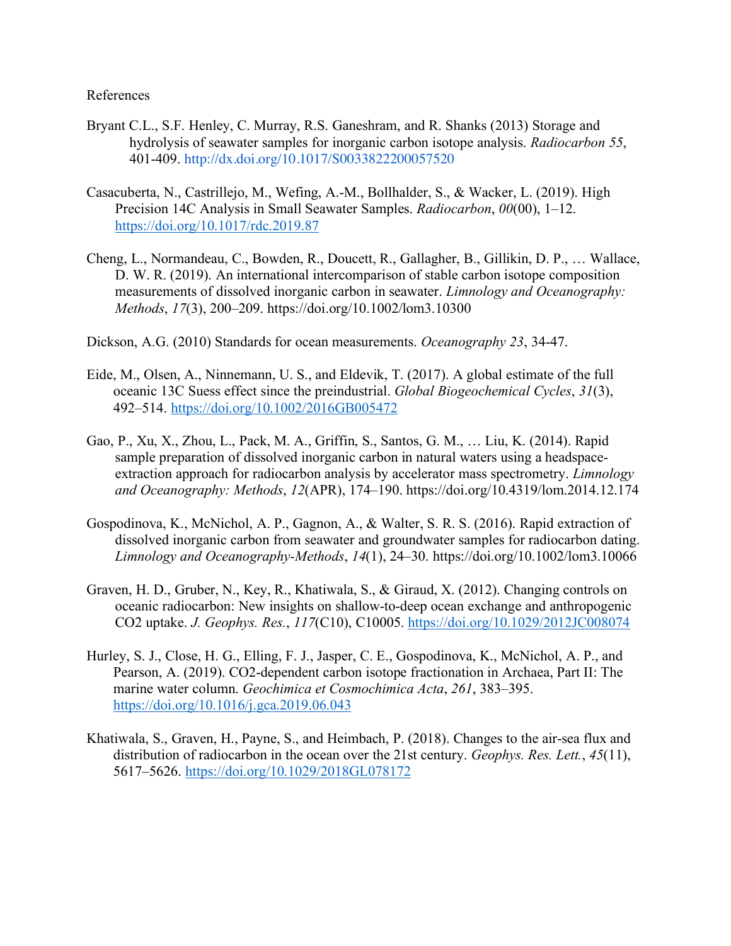References

- Bryant C.L., S.F. Henley, C. Murray, R.S. Ganeshram, and R. Shanks (2013) Storage and hydrolysis of seawater samples for inorganic carbon isotope analysis. *Radiocarbon 55*, 401-409. http://dx.doi.org/10.1017/S0033822200057520
- Casacuberta, N., Castrillejo, M., Wefing, A.-M., Bollhalder, S., & Wacker, L. (2019). High Precision 14C Analysis in Small Seawater Samples. *Radiocarbon*, *00*(00), 1–12. https://doi.org/10.1017/rdc.2019.87
- Cheng, L., Normandeau, C., Bowden, R., Doucett, R., Gallagher, B., Gillikin, D. P., … Wallace, D. W. R. (2019). An international intercomparison of stable carbon isotope composition measurements of dissolved inorganic carbon in seawater. *Limnology and Oceanography: Methods*, *17*(3), 200–209. https://doi.org/10.1002/lom3.10300
- Dickson, A.G. (2010) Standards for ocean measurements. *Oceanography 23*, 34-47.
- Eide, M., Olsen, A., Ninnemann, U. S., and Eldevik, T. (2017). A global estimate of the full oceanic 13C Suess effect since the preindustrial. *Global Biogeochemical Cycles*, *31*(3), 492–514. https://doi.org/10.1002/2016GB005472
- Gao, P., Xu, X., Zhou, L., Pack, M. A., Griffin, S., Santos, G. M., … Liu, K. (2014). Rapid sample preparation of dissolved inorganic carbon in natural waters using a headspaceextraction approach for radiocarbon analysis by accelerator mass spectrometry. *Limnology and Oceanography: Methods*, *12*(APR), 174–190. https://doi.org/10.4319/lom.2014.12.174
- Gospodinova, K., McNichol, A. P., Gagnon, A., & Walter, S. R. S. (2016). Rapid extraction of dissolved inorganic carbon from seawater and groundwater samples for radiocarbon dating. *Limnology and Oceanography-Methods*, *14*(1), 24–30. https://doi.org/10.1002/lom3.10066
- Graven, H. D., Gruber, N., Key, R., Khatiwala, S., & Giraud, X. (2012). Changing controls on oceanic radiocarbon: New insights on shallow-to-deep ocean exchange and anthropogenic CO2 uptake. *J. Geophys. Res.*, *117*(C10), C10005. https://doi.org/10.1029/2012JC008074
- Hurley, S. J., Close, H. G., Elling, F. J., Jasper, C. E., Gospodinova, K., McNichol, A. P., and Pearson, A. (2019). CO2-dependent carbon isotope fractionation in Archaea, Part II: The marine water column. *Geochimica et Cosmochimica Acta*, *261*, 383–395. https://doi.org/10.1016/j.gca.2019.06.043
- Khatiwala, S., Graven, H., Payne, S., and Heimbach, P. (2018). Changes to the air-sea flux and distribution of radiocarbon in the ocean over the 21st century. *Geophys. Res. Lett.*, *45*(11), 5617–5626. https://doi.org/10.1029/2018GL078172